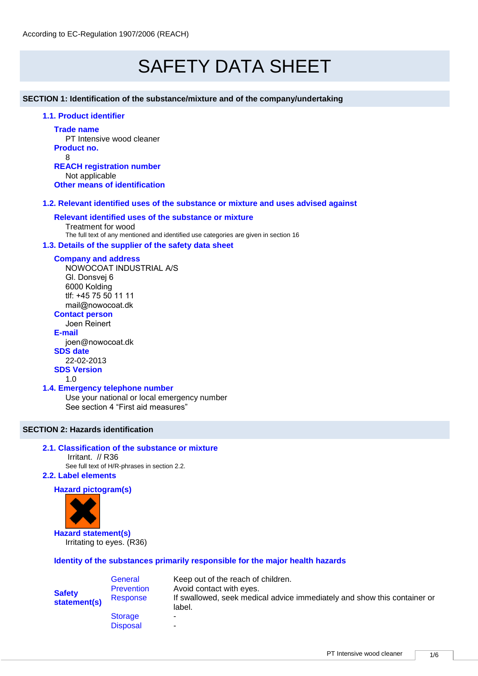# SAFETY DATA SHEET

**SECTION 1: Identification of the substance/mixture and of the company/undertaking** 

# **1.1. Product identifier**

**Trade name**

PT Intensive wood cleaner **Product no.** 8 **REACH registration number** Not applicable

**Other means of identification**

# **1.2. Relevant identified uses of the substance or mixture and uses advised against**

# **Relevant identified uses of the substance or mixture**

Treatment for wood The full text of any mentioned and identified use categories are given in section 16

#### **1.3. Details of the supplier of the safety data sheet**

#### **Company and address**

NOWOCOAT INDUSTRIAL A/S Gl. Donsvej 6 6000 Kolding tlf: +45 75 50 11 11 mail@nowocoat.dk

# **Contact person**

Joen Reinert **E-mail**

joen@nowocoat.dk **SDS date**  22-02-2013 **SDS Version**

# 1.0

#### **1.4. Emergency telephone number**

Use your national or local emergency number See section 4 "First aid measures"

# **SECTION 2: Hazards identification**

# **2.1. Classification of the substance or mixture**

Irritant. // R36

See full text of H/R-phrases in section 2.2.

# **2.2. Label elements**

# **Hazard pictogram(s)**



**Hazard statement(s)** Irritating to eyes. (R36)

# **Identity of the substances primarily responsible for the major health hazards**

| <b>Safety</b><br>statement(s) | General<br><b>Prevention</b><br>Response | Keep out of the reach of children.<br>Avoid contact with eyes.<br>If swallowed, seek medical advice immediately and show this container or<br>label. |
|-------------------------------|------------------------------------------|------------------------------------------------------------------------------------------------------------------------------------------------------|
|                               | <b>Storage</b>                           | -                                                                                                                                                    |
|                               | <b>Disposal</b>                          | -                                                                                                                                                    |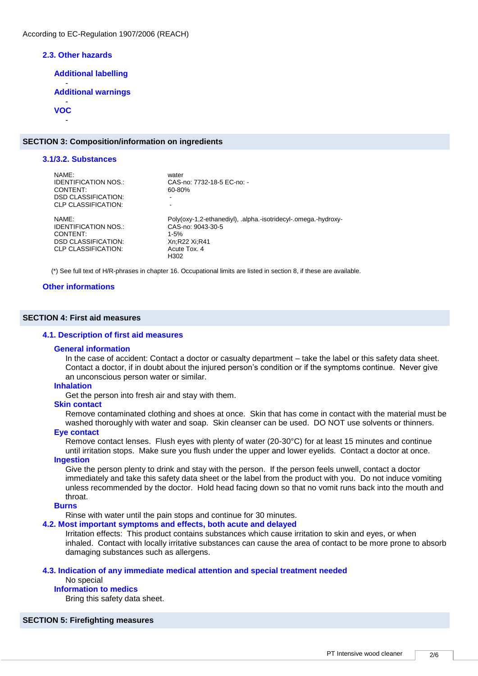#### **2.3. Other hazards**

**Additional labelling**

- **Additional warnings**

#### - **VOC**

-

#### **SECTION 3: Composition/information on ingredients**

#### **3.1/3.2. Substances** NAME: water<br>IDENTIFICATION NOS.: CAS-CAS-no: 7732-18-5 EC-no: -<br>60-80% CONTENT: DSD CLASSIFICATION: CLP CLASSIFICATION: NAME: Poly(oxy-1,2-ethanediyl), .alpha.-isotridecyl-.omega.-hydroxy-IDENTIFICATION NOS.: CAS-no: 9043-30-5 CONTENT: 1-5% **DSD CLASSIFICATION:** Xn;R22 Xi;R4<br>CLP CLASSIFICATION: Acute Tox 4 CLP CLASSIFICATION: H302

(\*) See full text of H/R-phrases in chapter 16. Occupational limits are listed in section 8, if these are available.

#### **Other informations**

#### **SECTION 4: First aid measures**

#### **4.1. Description of first aid measures**

#### **General information**

In the case of accident: Contact a doctor or casualty department – take the label or this safety data sheet. Contact a doctor, if in doubt about the injured person's condition or if the symptoms continue. Never give an unconscious person water or similar.

#### **Inhalation**

Get the person into fresh air and stay with them.

#### **Skin contact**

Remove contaminated clothing and shoes at once. Skin that has come in contact with the material must be washed thoroughly with water and soap. Skin cleanser can be used. DO NOT use solvents or thinners.

#### **Eye contact**

Remove contact lenses. Flush eyes with plenty of water (20-30°C) for at least 15 minutes and continue until irritation stops. Make sure you flush under the upper and lower eyelids. Contact a doctor at once.

#### **Ingestion**

Give the person plenty to drink and stay with the person. If the person feels unwell, contact a doctor immediately and take this safety data sheet or the label from the product with you. Do not induce vomiting unless recommended by the doctor. Hold head facing down so that no vomit runs back into the mouth and throat.

# **Burns**

Rinse with water until the pain stops and continue for 30 minutes.

#### **4.2. Most important symptoms and effects, both acute and delayed**

Irritation effects: This product contains substances which cause irritation to skin and eyes, or when inhaled. Contact with locally irritative substances can cause the area of contact to be more prone to absorb damaging substances such as allergens.

#### **4.3. Indication of any immediate medical attention and special treatment needed**

# No special

# **Information to medics**

Bring this safety data sheet.

# **SECTION 5: Firefighting measures**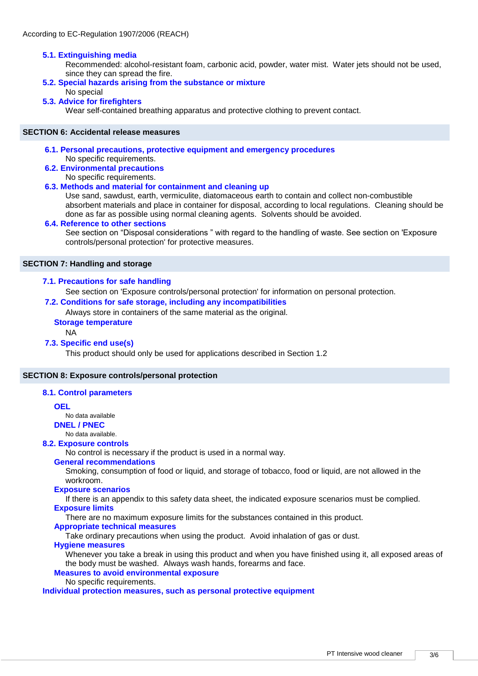# **5.1. Extinguishing media**

Recommended: alcohol-resistant foam, carbonic acid, powder, water mist. Water jets should not be used, since they can spread the fire.

# **5.2. Special hazards arising from the substance or mixture**

# No special

# **5.3. Advice for firefighters**

Wear self-contained breathing apparatus and protective clothing to prevent contact.

# **SECTION 6: Accidental release measures**

#### **6.1. Personal precautions, protective equipment and emergency procedures**

No specific requirements.

**6.2. Environmental precautions** 

No specific requirements.

# **6.3. Methods and material for containment and cleaning up**

Use sand, sawdust, earth, vermiculite, diatomaceous earth to contain and collect non-combustible absorbent materials and place in container for disposal, according to local regulations. Cleaning should be done as far as possible using normal cleaning agents. Solvents should be avoided.

#### **6.4. Reference to other sections**

See section on "Disposal considerations " with regard to the handling of waste. See section on 'Exposure controls/personal protection' for protective measures.

#### **SECTION 7: Handling and storage**

#### **7.1. Precautions for safe handling**

See section on 'Exposure controls/personal protection' for information on personal protection.

# **7.2. Conditions for safe storage, including any incompatibilities**

Always store in containers of the same material as the original.

**Storage temperature**

#### NA

#### **7.3. Specific end use(s)**

This product should only be used for applications described in Section 1.2

#### **SECTION 8: Exposure controls/personal protection**

#### **8.1. Control parameters**

#### **OEL**

No data available

**DNEL / PNEC**

# No data available.

# **8.2. Exposure controls**

No control is necessary if the product is used in a normal way.

# **General recommendations**

Smoking, consumption of food or liquid, and storage of tobacco, food or liquid, are not allowed in the workroom.

## **Exposure scenarios**

If there is an appendix to this safety data sheet, the indicated exposure scenarios must be complied. **Exposure limits**

There are no maximum exposure limits for the substances contained in this product.

#### **Appropriate technical measures**

Take ordinary precautions when using the product. Avoid inhalation of gas or dust.

#### **Hygiene measures**

Whenever you take a break in using this product and when you have finished using it, all exposed areas of the body must be washed. Always wash hands, forearms and face.

#### **Measures to avoid environmental exposure**

No specific requirements.

**Individual protection measures, such as personal protective equipment**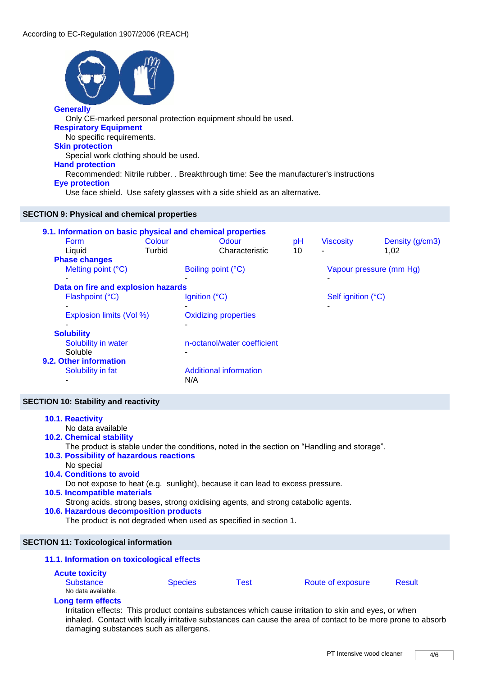

| <b>Phase changes</b><br>Melting point $(^{\circ}C)$ | Boiling point (°C)            | Vapour pressure (mm Hg)  |  |  |  |
|-----------------------------------------------------|-------------------------------|--------------------------|--|--|--|
| ۰                                                   | -                             | ۰                        |  |  |  |
| Data on fire and explosion hazards                  |                               |                          |  |  |  |
| Flashpoint (°C)                                     | Ignition $(^{\circ}C)$        | Self ignition (°C)       |  |  |  |
| ۰                                                   |                               | $\overline{\phantom{0}}$ |  |  |  |
| Explosion limits (Vol %)                            | <b>Oxidizing properties</b>   |                          |  |  |  |
|                                                     | ۰                             |                          |  |  |  |
| <b>Solubility</b>                                   |                               |                          |  |  |  |
| Solubility in water                                 | n-octanol/water coefficient   |                          |  |  |  |
| Soluble                                             |                               |                          |  |  |  |
| 9.2. Other information                              |                               |                          |  |  |  |
| Solubility in fat                                   | <b>Additional information</b> |                          |  |  |  |
|                                                     | N/A                           |                          |  |  |  |
|                                                     |                               |                          |  |  |  |

# **SECTION 10: Stability and reactivity**

| 10.1. Reactivity<br>No data available                                                       |                |      |                   |               |  |  |
|---------------------------------------------------------------------------------------------|----------------|------|-------------------|---------------|--|--|
| <b>10.2. Chemical stability</b>                                                             |                |      |                   |               |  |  |
| The product is stable under the conditions, noted in the section on "Handling and storage". |                |      |                   |               |  |  |
| 10.3. Possibility of hazardous reactions                                                    |                |      |                   |               |  |  |
| No special                                                                                  |                |      |                   |               |  |  |
| <b>10.4. Conditions to avoid</b>                                                            |                |      |                   |               |  |  |
| Do not expose to heat (e.g. sunlight), because it can lead to excess pressure.              |                |      |                   |               |  |  |
| <b>10.5. Incompatible materials</b>                                                         |                |      |                   |               |  |  |
| Strong acids, strong bases, strong oxidising agents, and strong catabolic agents.           |                |      |                   |               |  |  |
| 10.6. Hazardous decomposition products                                                      |                |      |                   |               |  |  |
| The product is not degraded when used as specified in section 1.                            |                |      |                   |               |  |  |
|                                                                                             |                |      |                   |               |  |  |
| <b>SECTION 11: Toxicological information</b>                                                |                |      |                   |               |  |  |
| 11.1. Information on toxicological effects                                                  |                |      |                   |               |  |  |
| <b>Acute toxicity</b>                                                                       |                |      |                   |               |  |  |
| <b>Substance</b>                                                                            | <b>Species</b> | Test | Route of exposure | <b>Result</b> |  |  |
| No data available.                                                                          |                |      |                   |               |  |  |
| <b>Long term effects</b>                                                                    |                |      |                   |               |  |  |

#### Irritation effects: This product contains substances which cause irritation to skin and eyes, or when inhaled. Contact with locally irritative substances can cause the area of contact to be more prone to absorb damaging substances such as allergens.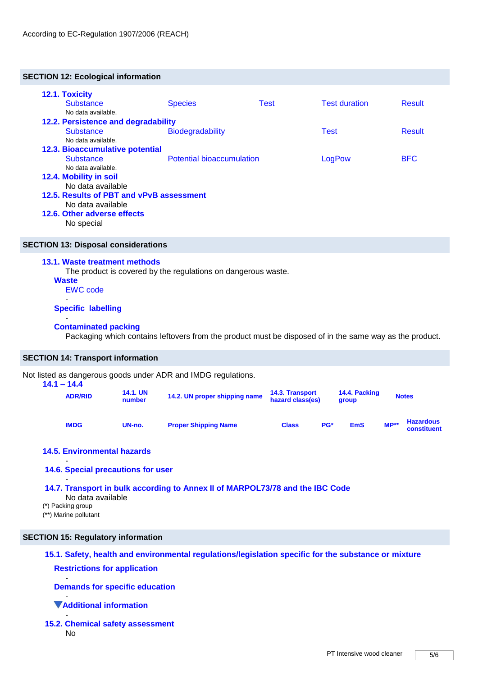# **SECTION 12: Ecological information**

| 12.1. Toxicity                           |                         |                                  |                      |               |
|------------------------------------------|-------------------------|----------------------------------|----------------------|---------------|
| <b>Substance</b>                         | <b>Species</b>          | <b>Test</b>                      | <b>Test duration</b> | <b>Result</b> |
| No data available.                       |                         |                                  |                      |               |
| 12.2. Persistence and degradability      |                         |                                  |                      |               |
| <b>Substance</b>                         | <b>Biodegradability</b> |                                  |                      | <b>Result</b> |
| No data available.                       |                         |                                  |                      |               |
| <b>12.3. Bioaccumulative potential</b>   |                         |                                  |                      |               |
| <b>Substance</b>                         |                         | <b>Potential bioaccumulation</b> |                      | <b>BFC</b>    |
| No data available.                       |                         |                                  |                      |               |
| 12.4. Mobility in soil                   |                         |                                  |                      |               |
| No data available                        |                         |                                  |                      |               |
| 12.5. Results of PBT and vPvB assessment |                         |                                  |                      |               |
| No data available                        |                         |                                  |                      |               |
| 12.6. Other adverse effects              |                         |                                  |                      |               |
| No special                               |                         |                                  |                      |               |

# **SECTION 13: Disposal considerations**

#### **13.1. Waste treatment methods**

The product is covered by the regulations on dangerous waste.

- **Waste** EWC code
- -

#### **Specific labelling**

#### - **Contaminated packing**

Packaging which contains leftovers from the product must be disposed of in the same way as the product.

# **SECTION 14: Transport information**

Not listed as dangerous goods under ADR and IMDG regulations.

| $14.1 - 14.4$<br><b>ADR/RID</b> | <b>14.1. UN</b><br>number | 14.2. UN proper shipping name | 14.3. Transport<br>hazard class(es) |     | 14.4. Packing<br>group | <b>Notes</b> |                                 |
|---------------------------------|---------------------------|-------------------------------|-------------------------------------|-----|------------------------|--------------|---------------------------------|
| <b>IMDG</b>                     | UN-no.                    | <b>Proper Shipping Name</b>   | <b>Class</b>                        | PG* | <b>EmS</b>             | $MP**$       | <b>Hazardous</b><br>constituent |

# **14.5. Environmental hazards**

#### - **14.6. Special precautions for user**

#### - **14.7. Transport in bulk according to Annex II of MARPOL73/78 and the IBC Code**

- No data available
- (\*) Packing group
- (\*\*) Marine pollutant

# **SECTION 15: Regulatory information**

# **15.1. Safety, health and environmental regulations/legislation specific for the substance or mixture**

#### **Restrictions for application** -

**Demands for specific education**

#### - **Additional information**

- **15.2. Chemical safety assessment**  No